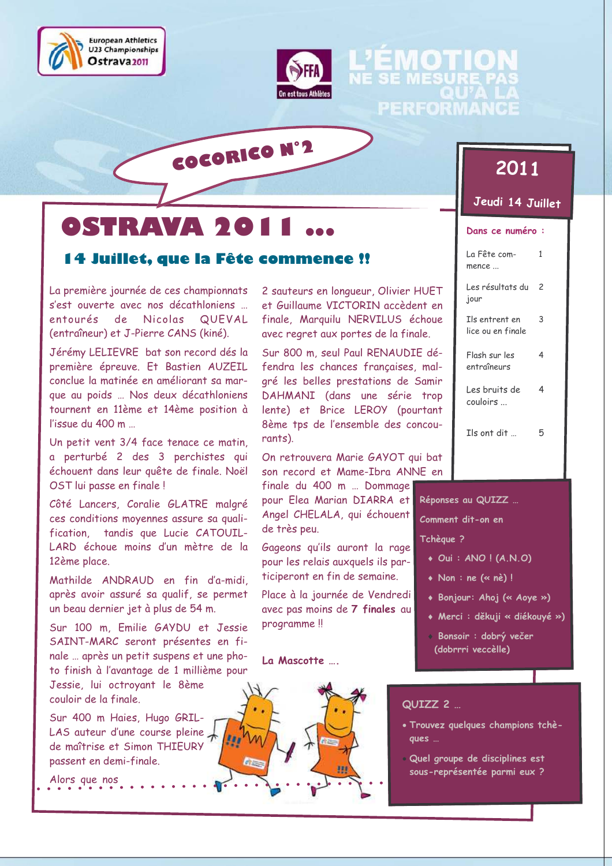



# $\odot$ SHRAVA 501

## 14 Juillet. que la Fête commence !!

COCORICO Nº2

La première journée de ces championnats s'est ouverte avec nos décathloniens ... entourés de Nicolas QUEVAL (entraîneur) et J-Pierre CANS (kiné).

Jérémy LELIEVRE bat son record dés la première épreuve. Et Bastien AUZEIL conclue la matinée en améliorant sa marque au poids ... Nos deux décathloniens tournent en 11ème et 14ème position à l'issue du 400 m

Un petit vent 3/4 face tenace ce matin, a perturbé 2 des 3 perchistes qui échouent dans leur quête de finale. Noël OST lui passe en finale!

Côté Lancers, Coralie GLATRE malgré ces conditions moyennes assure sa qualitandis que Lucie CATOUILfication, LARD échoue moins d'un mètre de la 12ème place.

Mathilde ANDRAUD en fin d'a-midi. après avoir assuré sa qualif, se permet un beau dernier jet à plus de 54 m.

Sur 100 m. Emilie GAYDU et Jessie SAINT-MARC seront présentes en finale ... après un petit suspens et une photo finish à l'avantage de 1 millième pour Jessie, lui octroyant le 8ème

couloir de la finale. Sur 400 m Haies, Hugo GRIL-

LAS auteur d'une course pleine  $\downarrow$ de maîtrise et Simon THIEURY passent en demi-finale.

Alors que nos

2 sauteurs en longueur, Olivier HUET et Guillaume VICTORIN accèdent en finale, Marquilu NERVILUS échoue avec regret aux portes de la finale.

Sur 800 m, seul Paul RENAUDIE défendra les chances françaises, malgré les belles prestations de Samir DAHMANI (dans une série trop lente) et Brice LEROY (pourtant 8ème tps de l'ensemble des concourants).

On retrouvera Marie GAYOT qui bat son record et Mame-Ibra ANNE en

finale du 400 m ... Dommage pour Elea Marian DIARRA et Angel CHELALA, qui échouent de très peu.

Gageons qu'ils auront la rage pour les relais auxquels ils participeront en fin de semaine.

Place à la journée de Vendredi avec pas moins de 7 finales au programme!

#### La Mascotte ....



# 2011

EMOTIO

PERFORMAI

Jeudi 14 Juillet

#### Dans ce numéro :

| La Fête com-<br>mence               | 1 |
|-------------------------------------|---|
| Les résultats du<br>jour            | 2 |
| Ils entrent en<br>lice ou en finale | 3 |
| Flash sur les<br>entraîneurs        | 4 |
| Les bruits de<br>couloirs           | 4 |
| $I$ ls ont dit $\ldots$             |   |

Réponses au QUIZZ ...

Comment dit-on en

#### Tchèque ?

- $\bullet$  Oui : ANO ! (A.N.O)
- $\bullet$  Non: ne  $(\cdot \circ n\grave{e})$ !
- Bonjour: Ahoj (« Aoye »)
- Merci : děkuji « diékouyé »)
- · Bonsoir : dobrý večer (dobrrri veccèlle)

#### QUIZZ<sub>2</sub>

- · Trouvez quelques champions tchèques ...
- · Quel groupe de disciplines est sous-représentée parmi eux ?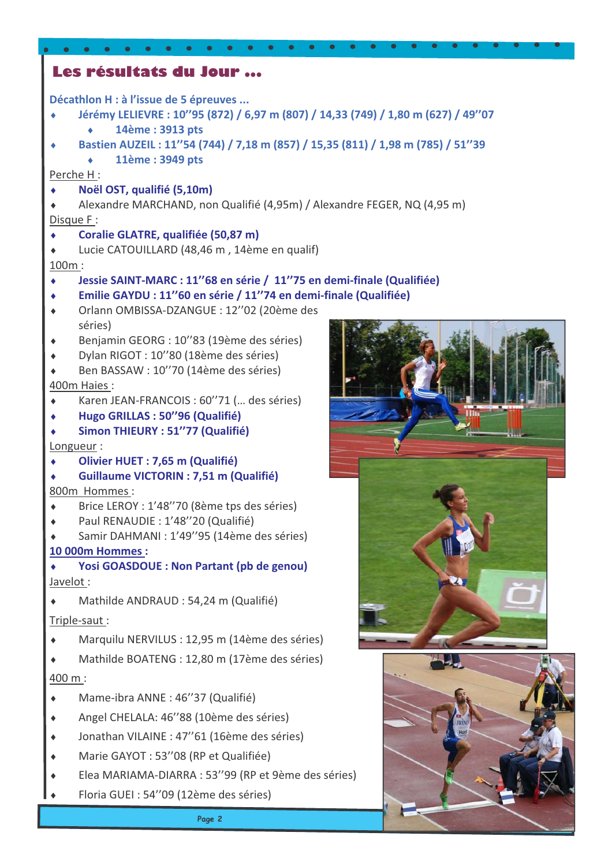| Les résultats du Jour                                                                              |  |
|----------------------------------------------------------------------------------------------------|--|
| Décathlon H : à l'issue de 5 épreuves                                                              |  |
| Jérémy LELIEVRE : 10"95 (872) / 6,97 m (807) / 14,33 (749) / 1,80 m (627) / 49"07                  |  |
| 14ème: 3913 pts                                                                                    |  |
| Bastien AUZEIL: 11"54 (744) / 7,18 m (857) / 15,35 (811) / 1,98 m (785) / 51"39<br>11ème: 3949 pts |  |
| Perche H:                                                                                          |  |
| Noël OST, qualifié (5,10m)                                                                         |  |
| Alexandre MARCHAND, non Qualifié (4,95m) / Alexandre FEGER, NQ (4,95 m)                            |  |
| Disque F:                                                                                          |  |
| Coralie GLATRE, qualifiée (50,87 m)                                                                |  |
| Lucie CATOUILLARD (48,46 m, 14ème en qualif)                                                       |  |
| 100m:<br>Jessie SAINT-MARC : 11"68 en série / 11"75 en demi-finale (Qualifiée)<br>۰                |  |
| Emilie GAYDU : 11"60 en série / 11"74 en demi-finale (Qualifiée)                                   |  |
| Orlann OMBISSA-DZANGUE: 12"02 (20ème des<br>۰                                                      |  |
| séries)                                                                                            |  |
| Benjamin GEORG : 10"83 (19ème des séries)                                                          |  |
| Dylan RIGOT: 10"80 (18ème des séries)                                                              |  |
| Ben BASSAW : 10"70 (14ème des séries)<br>400m Haies:                                               |  |
| Karen JEAN-FRANCOIS : 60"71 ( des séries)                                                          |  |
| ш<br>Hugo GRILLAS: 50"96 (Qualifié)                                                                |  |
| Simon THIEURY : 51"77 (Qualifié)                                                                   |  |
| Longueur:                                                                                          |  |
| Olivier HUET: 7,65 m (Qualifié)                                                                    |  |
| <b>Guillaume VICTORIN : 7,51 m (Qualifié)</b><br>800m Hommes:                                      |  |
| Brice LEROY : 1'48"70 (8ème tps des séries)                                                        |  |
| Paul RENAUDIE : 1'48"20 (Qualifié)                                                                 |  |
| Samir DAHMANI : 1'49"95 (14ème des séries)                                                         |  |
| <b>10 000m Hommes:</b>                                                                             |  |
| <b>Yosi GOASDOUE : Non Partant (pb de genou)</b>                                                   |  |
| Javelot:                                                                                           |  |
| Mathilde ANDRAUD : 54,24 m (Qualifié)<br>Triple-saut:                                              |  |
| Marquilu NERVILUS : 12,95 m (14ème des séries)                                                     |  |
|                                                                                                    |  |
| Mathilde BOATENG : 12,80 m (17ème des séries)                                                      |  |
| 400 m:                                                                                             |  |
| Mame-ibra ANNE: 46"37 (Qualifié)                                                                   |  |
| Angel CHELALA: 46"88 (10ème des séries)                                                            |  |
| Jonathan VILAINE : 47"61 (16ème des séries)                                                        |  |
| Marie GAYOT : 53"08 (RP et Qualifiée)                                                              |  |
| Elea MARIAMA-DIARRA : 53"99 (RP et 9ème des séries)                                                |  |
| Floria GUEI : 54"09 (12ème des séries)                                                             |  |
|                                                                                                    |  |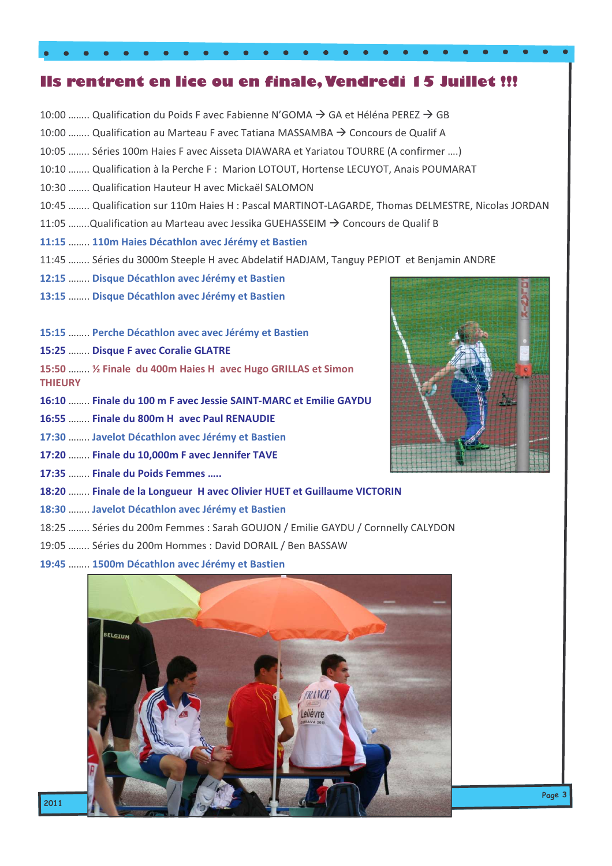# Ils rentrent en lice ou en finale, Vendredi 15 Juillet !!!

 $\mathcal{L}$ 

 $\bullet$ 

 $\bullet$  $\bullet$ 

| 10:00 …… Qualification du Poids F avec Fabienne N'GOMA $\rightarrow$ GA et Helena PEREZ $\rightarrow$ GB |  |
|----------------------------------------------------------------------------------------------------------|--|
| 10:00  Qualification au Marteau F avec Tatiana MASSAMBA → Concours de Qualif A                           |  |
| 10:05  Séries 100m Haies F avec Aisseta DIAWARA et Yariatou TOURRE (A confirmer )                        |  |
| 10:10  Qualification à la Perche F : Marion LOTOUT, Hortense LECUYOT, Anais POUMARAT                     |  |
| 10:30  Qualification Hauteur H avec Mickaël SALOMON                                                      |  |
| 10:45  Qualification sur 110m Haies H : Pascal MARTINOT-LAGARDE, Thomas DELMESTRE, Nicolas JORDAN        |  |
| 11:05 Qualification au Marteau avec Jessika GUEHASSEIM $\rightarrow$ Concours de Qualif B                |  |
| 11:15  110m Haies Décathlon avec Jérémy et Bastien                                                       |  |
| 11:45  Séries du 3000m Steeple H avec Abdelatif HADJAM, Tanguy PEPIOT et Benjamin ANDRE                  |  |
| 12:15  Disque Décathlon avec Jérémy et Bastien                                                           |  |
| 13:15  Disque Décathlon avec Jérémy et Bastien                                                           |  |
|                                                                                                          |  |
| 15:15  Perche Décathlon avec avec Jérémy et Bastien                                                      |  |
| 15:25  Disque F avec Coralie GLATRE                                                                      |  |

15:50 ........ 1/2 Finale du 400m Haies H avec Hugo GRILLAS et Simon **THIEURY** 

16:10 ........ Finale du 100 m F avec Jessie SAINT-MARC et Emilie GAYDU

- 16:55 ........ Finale du 800m H avec Paul RENAUDIE
- 17:30 ........ Javelot Décathlon avec Jérémy et Bastien
- 17:20 ........ Finale du 10,000m F avec Jennifer TAVE
- 17:35 ........ Finale du Poids Femmes .....

 $\bullet$  $\bullet$  $\bullet$ 

#### 18:20 ........ Finale de la Longueur H avec Olivier HUET et Guillaume VICTORIN

- 18:30 ........ Javelot Décathlon avec Jérémy et Bastien
- 18:25 ........ Séries du 200m Femmes : Sarah GOUJON / Emilie GAYDU / Cornnelly CALYDON
- 19:05 ........ Séries du 200m Hommes : David DORAIL / Ben BASSAW
- 19:45 ........ 1500m Décathlon avec Jérémy et Bastien



Page 3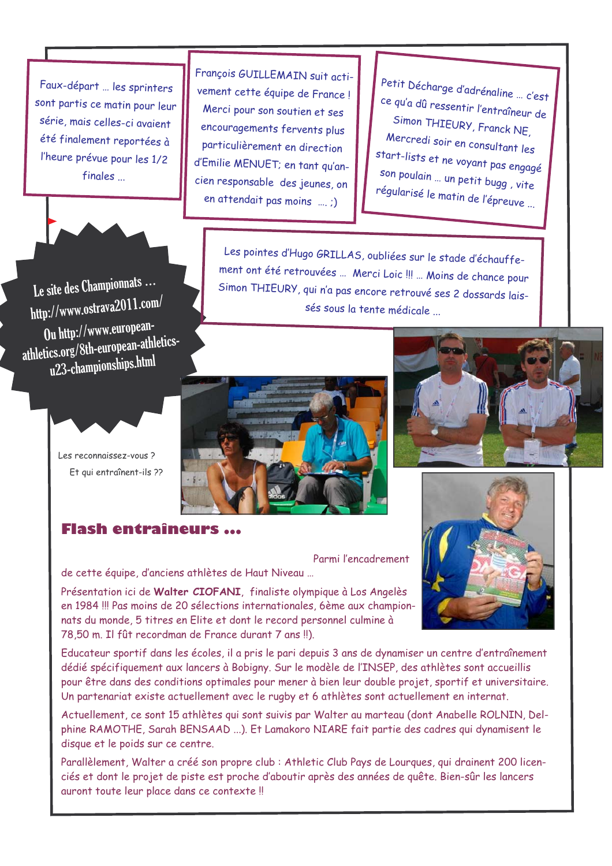Faux-départ ... les sprinters sont partis ce matin pour leur série, mais celles-ci avaient été finalement reportées à l'heure prévue pour les 1/2 finales



Le site des Championnats... http://www.ostrava2011.com/ Ou http://www.europeanathletics.org/8th-european-athleticsu23-championships.html

François GUILLEMAIN suit activement cette équipe de France! Merci pour son soutien et ses encouragements fervents plus particulièrement en direction d'Emilie MENUET; en tant qu'ancien responsable des jeunes, on en attendait pas moins ....;)

Petit Décharge d'adrénaline ... c'est ce qu'a dû ressentir l'entraîneur de Simon THIEURY, Franck NE, Mercredi soir en consultant les start-lists et ne voyant pas engagé son poulain ... un petit bugg, vite régularisé le matin de l'épreuve ...

Les pointes d'Hugo GRILLAS, oubliées sur le stade d'échauffement ont été retrouvées ... Merci Loic !!! ... Moins de chance pour Simon THIEURY, qui n'a pas encore retrouvé ses 2 dossards laissés sous la tente médicale ...



Les reconnaissez-vous? Et qui entraînent-ils ??

# **Flash entraîneurs ...**

Parmi l'encadrement

de cette équipe, d'anciens athlètes de Haut Niveau ...

Présentation ici de Walter CIOFANI, finaliste olympique à Los Angelès en 1984 !!! Pas moins de 20 sélections internationales, 6ème aux championnats du monde, 5 titres en Elite et dont le record personnel culmine à 78,50 m. Il fût recordman de France durant 7 ans !!).

Educateur sportif dans les écoles, il a pris le pari depuis 3 ans de dynamiser un centre d'entraînement dédié spécifiquement aux lancers à Bobigny. Sur le modèle de l'INSEP, des athlètes sont accueillis pour être dans des conditions optimales pour mener à bien leur double projet, sportif et universitaire. Un partenariat existe actuellement avec le rugby et 6 athlètes sont actuellement en internat.

Actuellement, ce sont 15 athlètes qui sont suivis par Walter au marteau (dont Anabelle ROLNIN, Delphine RAMOTHE, Sarah BENSAAD ...). Et Lamakoro NIARE fait partie des cadres qui dynamisent le disque et le poids sur ce centre.

Parallèlement, Walter a créé son propre club : Athletic Club Pays de Lourgues, qui drainent 200 licenciés et dont le projet de piste est proche d'aboutir après des années de quête. Bien-sûr les lancers auront toute leur place dans ce contexte !!